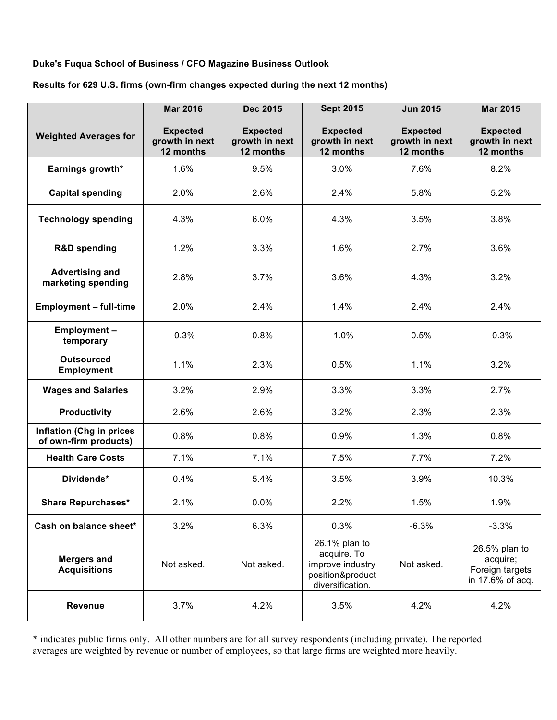### **Duke's Fuqua School of Business / CFO Magazine Business Outlook**

#### **Results for 629 U.S. firms (own-firm changes expected during the next 12 months)**

|                                                          | <b>Mar 2016</b>                                | <b>Dec 2015</b>                                | <b>Sept 2015</b>                                                                         | <b>Jun 2015</b>                                | <b>Mar 2015</b>                                                  |
|----------------------------------------------------------|------------------------------------------------|------------------------------------------------|------------------------------------------------------------------------------------------|------------------------------------------------|------------------------------------------------------------------|
| <b>Weighted Averages for</b>                             | <b>Expected</b><br>growth in next<br>12 months | <b>Expected</b><br>growth in next<br>12 months | <b>Expected</b><br>growth in next<br>12 months                                           | <b>Expected</b><br>growth in next<br>12 months | <b>Expected</b><br>growth in next<br>12 months                   |
| Earnings growth*                                         | 1.6%                                           | 9.5%                                           | 3.0%                                                                                     | 7.6%                                           | 8.2%                                                             |
| <b>Capital spending</b>                                  | 2.0%                                           | 2.6%                                           | 2.4%                                                                                     | 5.8%                                           | 5.2%                                                             |
| <b>Technology spending</b>                               | 4.3%                                           | 6.0%                                           | 4.3%                                                                                     | 3.5%                                           | 3.8%                                                             |
| <b>R&amp;D</b> spending                                  | 1.2%                                           | 3.3%                                           | 1.6%                                                                                     | 2.7%                                           | 3.6%                                                             |
| <b>Advertising and</b><br>marketing spending             | 2.8%                                           | 3.7%                                           | 3.6%                                                                                     | 4.3%                                           | 3.2%                                                             |
| <b>Employment - full-time</b>                            | 2.0%                                           | 2.4%                                           | 1.4%                                                                                     | 2.4%                                           | 2.4%                                                             |
| <b>Employment-</b><br>temporary                          | $-0.3%$                                        | 0.8%                                           | $-1.0%$                                                                                  | 0.5%                                           | $-0.3%$                                                          |
| <b>Outsourced</b><br><b>Employment</b>                   | 1.1%                                           | 2.3%                                           | 0.5%                                                                                     | 1.1%                                           | 3.2%                                                             |
| <b>Wages and Salaries</b>                                | 3.2%                                           | 2.9%                                           | 3.3%                                                                                     | 3.3%                                           | 2.7%                                                             |
| <b>Productivity</b>                                      | 2.6%                                           | 2.6%                                           | 3.2%                                                                                     | 2.3%                                           | 2.3%                                                             |
| <b>Inflation (Chg in prices</b><br>of own-firm products) | 0.8%                                           | 0.8%                                           | 0.9%                                                                                     | 1.3%                                           | 0.8%                                                             |
| <b>Health Care Costs</b>                                 | 7.1%                                           | 7.1%                                           | 7.5%                                                                                     | 7.7%                                           | 7.2%                                                             |
| Dividends*                                               | 0.4%                                           | 5.4%                                           | 3.5%                                                                                     | 3.9%                                           | 10.3%                                                            |
| <b>Share Repurchases*</b>                                | 2.1%                                           | 0.0%                                           | 2.2%                                                                                     | 1.5%                                           | 1.9%                                                             |
| Cash on balance sheet*                                   | 3.2%                                           | 6.3%                                           | 0.3%                                                                                     | $-6.3%$                                        | $-3.3%$                                                          |
| <b>Mergers and</b><br><b>Acquisitions</b>                | Not asked.                                     | Not asked.                                     | 26.1% plan to<br>acquire. To<br>improve industry<br>position&product<br>diversification. | Not asked.                                     | 26.5% plan to<br>acquire;<br>Foreign targets<br>in 17.6% of acq. |
| <b>Revenue</b>                                           | 3.7%                                           | 4.2%                                           | 3.5%                                                                                     | 4.2%                                           | 4.2%                                                             |

\* indicates public firms only. All other numbers are for all survey respondents (including private). The reported averages are weighted by revenue or number of employees, so that large firms are weighted more heavily.